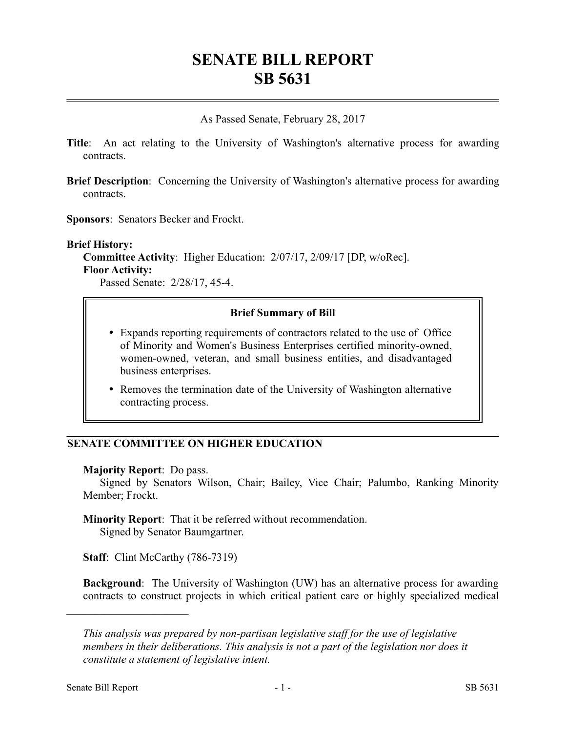# **SENATE BILL REPORT SB 5631**

As Passed Senate, February 28, 2017

- **Title**: An act relating to the University of Washington's alternative process for awarding contracts.
- **Brief Description**: Concerning the University of Washington's alternative process for awarding contracts.

**Sponsors**: Senators Becker and Frockt.

**Brief History: Committee Activity**: Higher Education: 2/07/17, 2/09/17 [DP, w/oRec]. **Floor Activity:**

Passed Senate: 2/28/17, 45-4.

### **Brief Summary of Bill**

- Expands reporting requirements of contractors related to the use of Office of Minority and Women's Business Enterprises certified minority-owned, women-owned, veteran, and small business entities, and disadvantaged business enterprises.
- Removes the termination date of the University of Washington alternative contracting process.

## **SENATE COMMITTEE ON HIGHER EDUCATION**

#### **Majority Report**: Do pass.

Signed by Senators Wilson, Chair; Bailey, Vice Chair; Palumbo, Ranking Minority Member; Frockt.

**Minority Report**: That it be referred without recommendation. Signed by Senator Baumgartner.

**Staff:** Clint McCarthy (786-7319)

**Background**: The University of Washington (UW) has an alternative process for awarding contracts to construct projects in which critical patient care or highly specialized medical

––––––––––––––––––––––

*This analysis was prepared by non-partisan legislative staff for the use of legislative members in their deliberations. This analysis is not a part of the legislation nor does it constitute a statement of legislative intent.*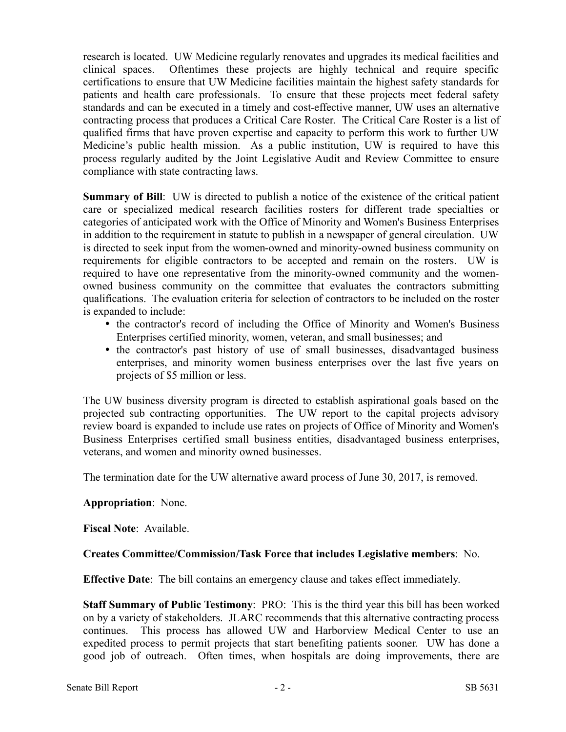research is located. UW Medicine regularly renovates and upgrades its medical facilities and clinical spaces. Oftentimes these projects are highly technical and require specific certifications to ensure that UW Medicine facilities maintain the highest safety standards for patients and health care professionals. To ensure that these projects meet federal safety standards and can be executed in a timely and cost-effective manner, UW uses an alternative contracting process that produces a Critical Care Roster. The Critical Care Roster is a list of qualified firms that have proven expertise and capacity to perform this work to further UW Medicine's public health mission. As a public institution, UW is required to have this process regularly audited by the Joint Legislative Audit and Review Committee to ensure compliance with state contracting laws.

**Summary of Bill:** UW is directed to publish a notice of the existence of the critical patient care or specialized medical research facilities rosters for different trade specialties or categories of anticipated work with the Office of Minority and Women's Business Enterprises in addition to the requirement in statute to publish in a newspaper of general circulation. UW is directed to seek input from the women-owned and minority-owned business community on requirements for eligible contractors to be accepted and remain on the rosters. UW is required to have one representative from the minority-owned community and the womenowned business community on the committee that evaluates the contractors submitting qualifications. The evaluation criteria for selection of contractors to be included on the roster is expanded to include:

- the contractor's record of including the Office of Minority and Women's Business Enterprises certified minority, women, veteran, and small businesses; and
- the contractor's past history of use of small businesses, disadvantaged business enterprises, and minority women business enterprises over the last five years on projects of \$5 million or less.

The UW business diversity program is directed to establish aspirational goals based on the projected sub contracting opportunities. The UW report to the capital projects advisory review board is expanded to include use rates on projects of Office of Minority and Women's Business Enterprises certified small business entities, disadvantaged business enterprises, veterans, and women and minority owned businesses.

The termination date for the UW alternative award process of June 30, 2017, is removed.

## **Appropriation**: None.

**Fiscal Note**: Available.

## **Creates Committee/Commission/Task Force that includes Legislative members**: No.

**Effective Date**: The bill contains an emergency clause and takes effect immediately.

**Staff Summary of Public Testimony**: PRO: This is the third year this bill has been worked on by a variety of stakeholders. JLARC recommends that this alternative contracting process continues. This process has allowed UW and Harborview Medical Center to use an expedited process to permit projects that start benefiting patients sooner. UW has done a good job of outreach. Often times, when hospitals are doing improvements, there are